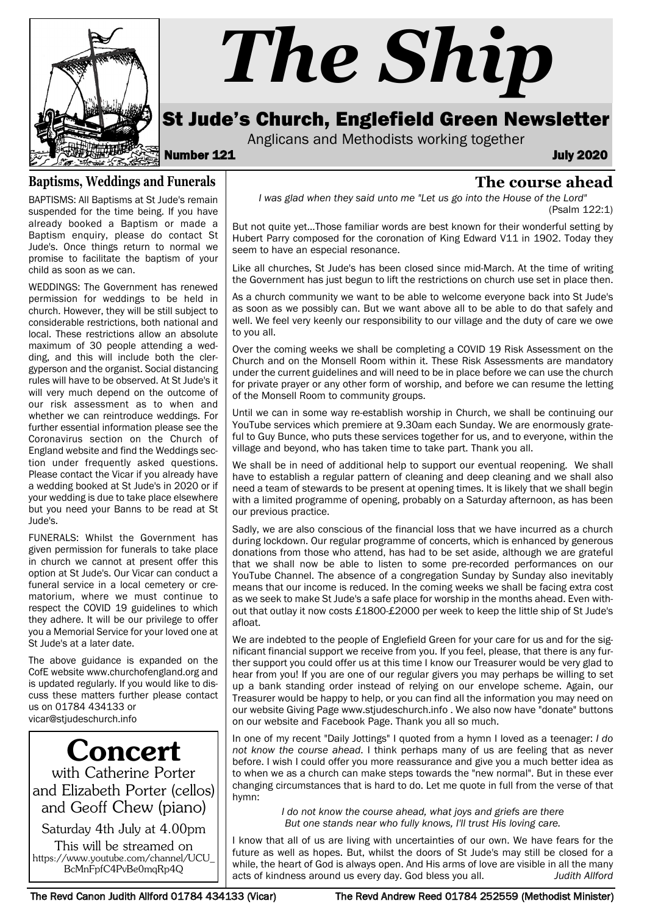

# *The Ship*

## St Jude's Church, Englefield Green Newsletter

Anglicans and Methodists working together

Number 121 July 2020

### **The course ahead**

*I was glad when they said unto me "Let us go into the House of the Lord"* 

(Psalm 122:1)

But not quite yet...Those familiar words are best known for their wonderful setting by Hubert Parry composed for the coronation of King Edward V11 in 1902. Today they seem to have an especial resonance.

Like all churches, St Jude's has been closed since mid-March. At the time of writing the Government has just begun to lift the restrictions on church use set in place then.

As a church community we want to be able to welcome everyone back into St Jude's as soon as we possibly can. But we want above all to be able to do that safely and well. We feel very keenly our responsibility to our village and the duty of care we owe to you all.

Over the coming weeks we shall be completing a COVID 19 Risk Assessment on the Church and on the Monsell Room within it. These Risk Assessments are mandatory under the current guidelines and will need to be in place before we can use the church for private prayer or any other form of worship, and before we can resume the letting of the Monsell Room to community groups.

Until we can in some way re-establish worship in Church, we shall be continuing our YouTube services which premiere at 9.30am each Sunday. We are enormously grateful to Guy Bunce, who puts these services together for us, and to everyone, within the village and beyond, who has taken time to take part. Thank you all.

We shall be in need of additional help to support our eventual reopening. We shall have to establish a regular pattern of cleaning and deep cleaning and we shall also need a team of stewards to be present at opening times. It is likely that we shall begin with a limited programme of opening, probably on a Saturday afternoon, as has been our previous practice.

Sadly, we are also conscious of the financial loss that we have incurred as a church during lockdown. Our regular programme of concerts, which is enhanced by generous donations from those who attend, has had to be set aside, although we are grateful that we shall now be able to listen to some pre-recorded performances on our YouTube Channel. The absence of a congregation Sunday by Sunday also inevitably means that our income is reduced. In the coming weeks we shall be facing extra cost as we seek to make St Jude's a safe place for worship in the months ahead. Even without that outlay it now costs £1800-£2000 per week to keep the little ship of St Jude's afloat.

We are indebted to the people of Englefield Green for your care for us and for the significant financial support we receive from you. If you feel, please, that there is any further support you could offer us at this time I know our Treasurer would be very glad to hear from you! If you are one of our regular givers you may perhaps be willing to set up a bank standing order instead of relying on our envelope scheme. Again, our Treasurer would be happy to help, or you can find all the information you may need on our website Giving Page www.stjudeschurch.info . We also now have "donate" buttons on our website and Facebook Page. Thank you all so much.

In one of my recent "Daily Jottings" I quoted from a hymn I loved as a teenager: *I do not know the course ahead*. I think perhaps many of us are feeling that as never before. I wish I could offer you more reassurance and give you a much better idea as to when we as a church can make steps towards the "new normal". But in these ever changing circumstances that is hard to do. Let me quote in full from the verse of that hymn:

> *I do not know the course ahead, what joys and griefs are there But one stands near who fully knows, I'll trust His loving care.*

I know that all of us are living with uncertainties of our own. We have fears for the future as well as hopes. But, whilst the doors of St Jude's may still be closed for a while, the heart of God is always open. And His arms of love are visible in all the many acts of kindness around us every day. God bless you all. *Judith Allford*

**Baptisms, Weddings and Funerals**

BAPTISMS: All Baptisms at St Jude's remain suspended for the time being. If you have already booked a Baptism or made a Baptism enquiry, please do contact St Jude's. Once things return to normal we promise to facilitate the baptism of your child as soon as we can.

WEDDINGS: The Government has renewed permission for weddings to be held in church. However, they will be still subject to considerable restrictions, both national and local. These restrictions allow an absolute maximum of 30 people attending a wedding, and this will include both the clergyperson and the organist. Social distancing rules will have to be observed. At St Jude's it will very much depend on the outcome of our risk assessment as to when and whether we can reintroduce weddings. For further essential information please see the Coronavirus section on the Church of England website and find the Weddings section under frequently asked questions. Please contact the Vicar if you already have a wedding booked at St Jude's in 2020 or if your wedding is due to take place elsewhere but you need your Banns to be read at St Jude's.

FUNERALS: Whilst the Government has given permission for funerals to take place in church we cannot at present offer this option at St Jude's. Our Vicar can conduct a funeral service in a local cemetery or crematorium, where we must continue to respect the COVID 19 guidelines to which they adhere. It will be our privilege to offer you a Memorial Service for your loved one at St Jude's at a later date.

The above guidance is expanded on the CofE website www.churchofengland.org and is updated regularly. If you would like to discuss these matters further please contact us on 01784 434133 or vicar@stjudeschurch.info

Concert with Catherine Porter and Elizabeth Porter (cellos) and Geoff Chew (piano)

Saturday 4th July at 4.00pm

This will be streamed on https://www.youtube.com/channel/UCU\_ BcMnFpfC4PvBe0mqRp4Q

The Revd Canon Judith Allford 01784 434133 (Vicar) The Revd Andrew Reed 01784 252559 (Methodist Minister)